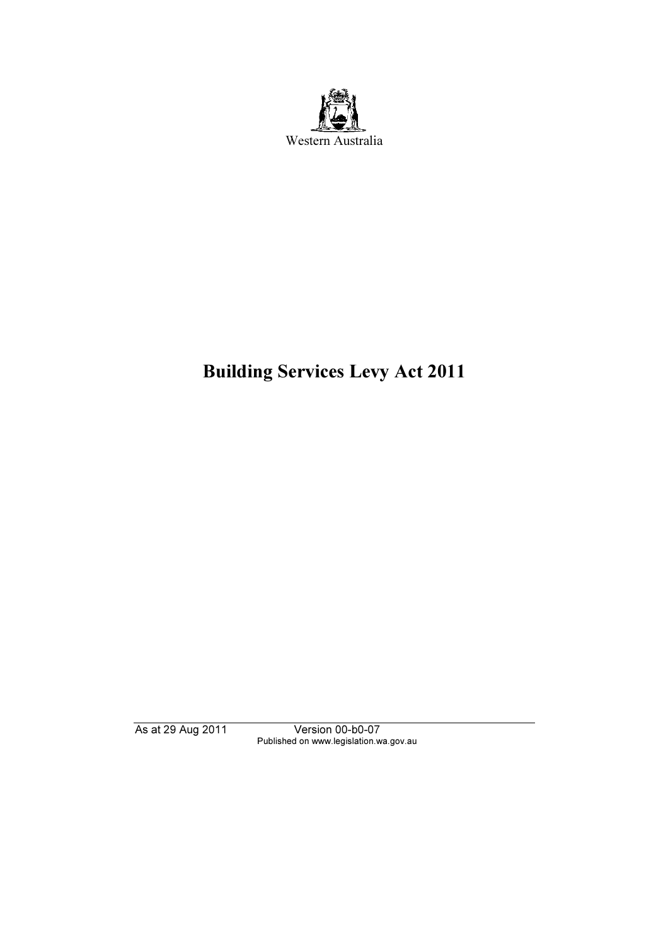

# Building Services Levy Act 2011

Published on www.legislation.wa.gov.au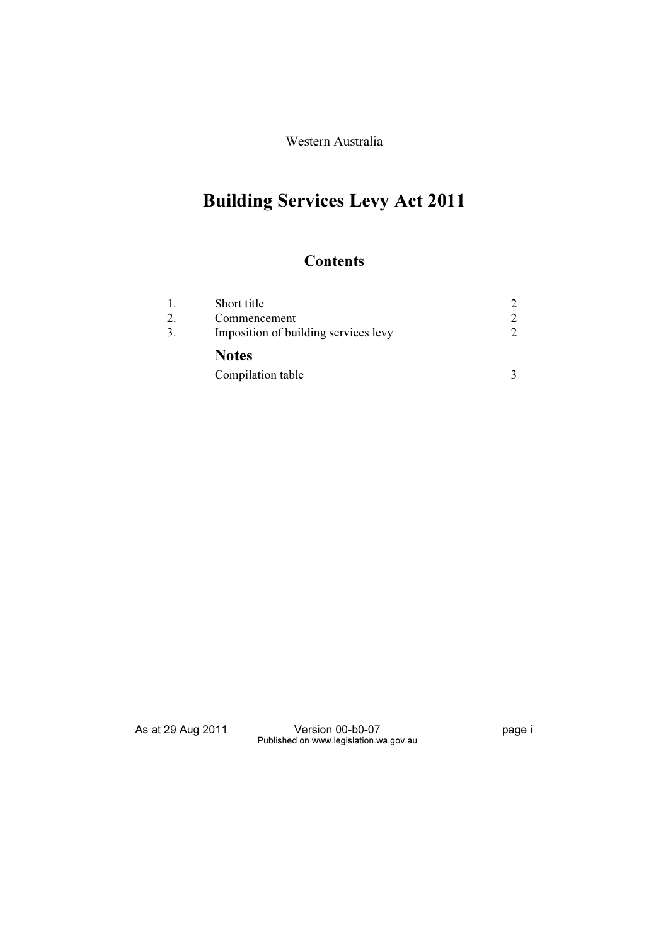Western Australia

# Building Services Levy Act 2011

## **Contents**

|    | Short title                          | $\mathcal{D}$               |
|----|--------------------------------------|-----------------------------|
|    | Commencement                         | $\mathcal{D}_{\mathcal{L}}$ |
| 3. | Imposition of building services levy | $\mathcal{D}$               |
|    | <b>Notes</b>                         |                             |
|    | Compilation table                    |                             |

Published on www.legislation.wa.gov.au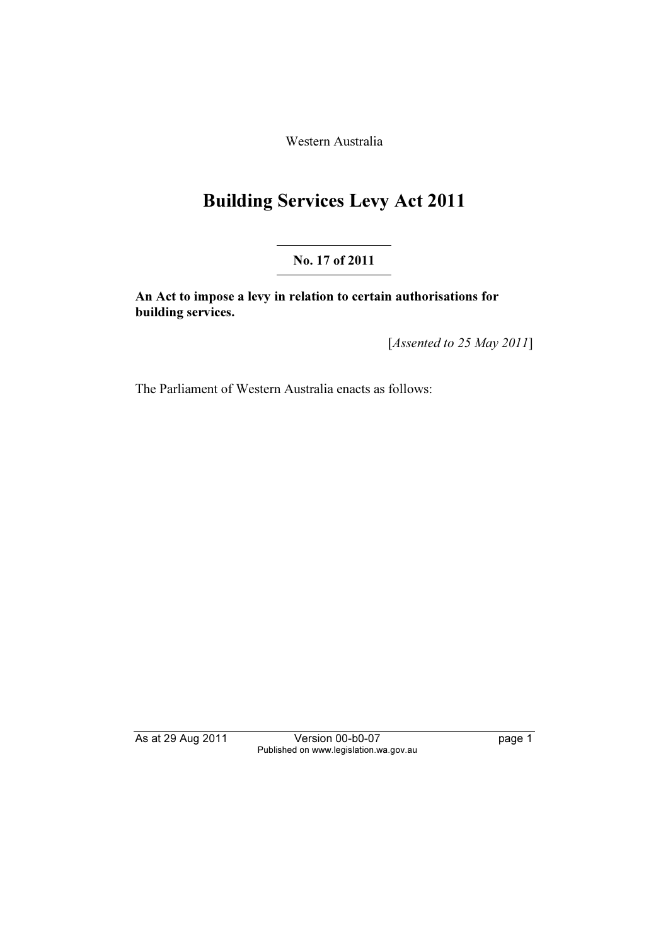Western Australia

# Building Services Levy Act 2011

### No. 17 of 2011

An Act to impose a levy in relation to certain authorisations for building services.

[Assented to 25 May 2011]

The Parliament of Western Australia enacts as follows:

As at 29 Aug 2011 Version 2012 and 2012 page 1 page 1 page 1 Published on www.legislation.wa.gov.au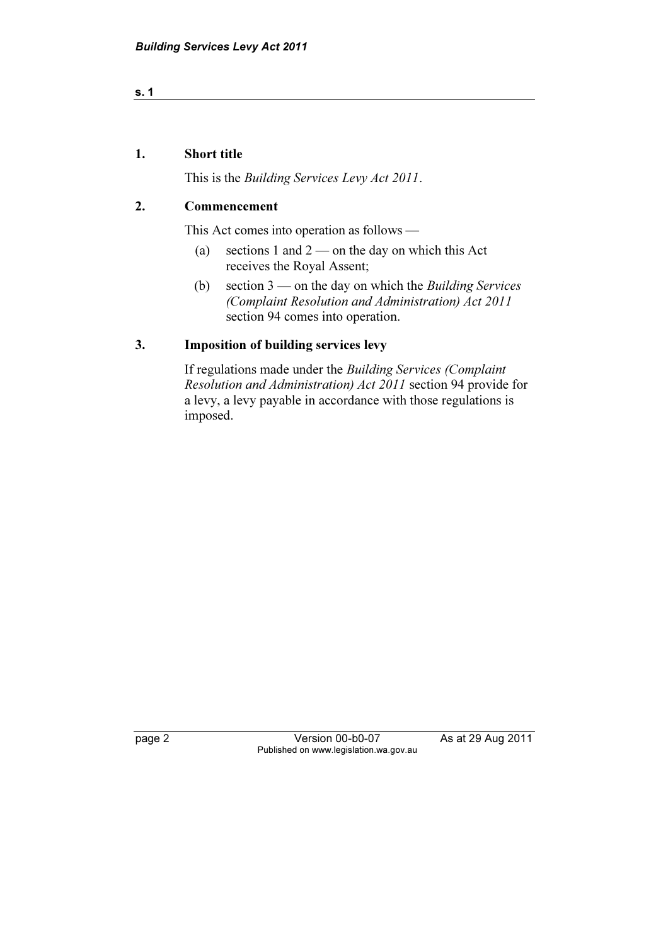## s. 1

#### 1. Short title

This is the Building Services Levy Act 2011.

#### 2. Commencement

This Act comes into operation as follows —

- (a) sections 1 and  $2$  on the day on which this Act receives the Royal Assent;
- (b) section  $3$  on the day on which the *Building Services* (Complaint Resolution and Administration) Act 2011 section 94 comes into operation.

### 3. Imposition of building services levy

 If regulations made under the Building Services (Complaint Resolution and Administration) Act 2011 section 94 provide for a levy, a levy payable in accordance with those regulations is imposed.

page 2 Version 2 Version 2 Version 2 August 2012 2013<br>
Published on www.legislation.wa.gov.au